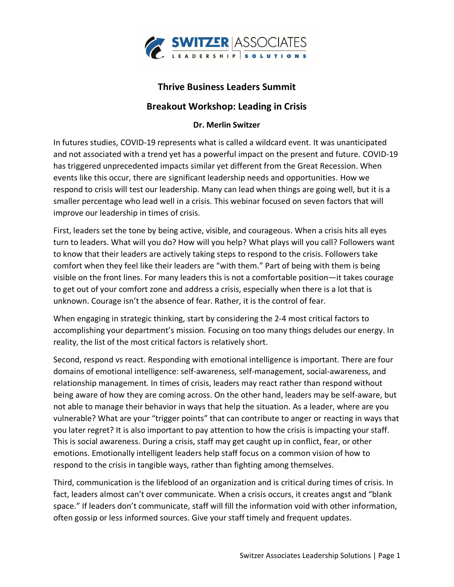

## **Thrive Business Leaders Summit**

## **Breakout Workshop: Leading in Crisis**

## **Dr. Merlin Switzer**

In futures studies, COVID-19 represents what is called a wildcard event. It was unanticipated and not associated with a trend yet has a powerful impact on the present and future. COVID-19 has triggered unprecedented impacts similar yet different from the Great Recession. When events like this occur, there are significant leadership needs and opportunities. How we respond to crisis will test our leadership. Many can lead when things are going well, but it is a smaller percentage who lead well in a crisis. This webinar focused on seven factors that will improve our leadership in times of crisis.

First, leaders set the tone by being active, visible, and courageous. When a crisis hits all eyes turn to leaders. What will you do? How will you help? What plays will you call? Followers want to know that their leaders are actively taking steps to respond to the crisis. Followers take comfort when they feel like their leaders are "with them." Part of being with them is being visible on the front lines. For many leaders this is not a comfortable position—it takes courage to get out of your comfort zone and address a crisis, especially when there is a lot that is unknown. Courage isn't the absence of fear. Rather, it is the control of fear.

When engaging in strategic thinking, start by considering the 2-4 most critical factors to accomplishing your department's mission. Focusing on too many things deludes our energy. In reality, the list of the most critical factors is relatively short.

Second, respond vs react. Responding with emotional intelligence is important. There are four domains of emotional intelligence: self-awareness, self-management, social-awareness, and relationship management. In times of crisis, leaders may react rather than respond without being aware of how they are coming across. On the other hand, leaders may be self-aware, but not able to manage their behavior in ways that help the situation. As a leader, where are you vulnerable? What are your "trigger points" that can contribute to anger or reacting in ways that you later regret? It is also important to pay attention to how the crisis is impacting your staff. This is social awareness. During a crisis, staff may get caught up in conflict, fear, or other emotions. Emotionally intelligent leaders help staff focus on a common vision of how to respond to the crisis in tangible ways, rather than fighting among themselves.

Third, communication is the lifeblood of an organization and is critical during times of crisis. In fact, leaders almost can't over communicate. When a crisis occurs, it creates angst and "blank space." If leaders don't communicate, staff will fill the information void with other information, often gossip or less informed sources. Give your staff timely and frequent updates.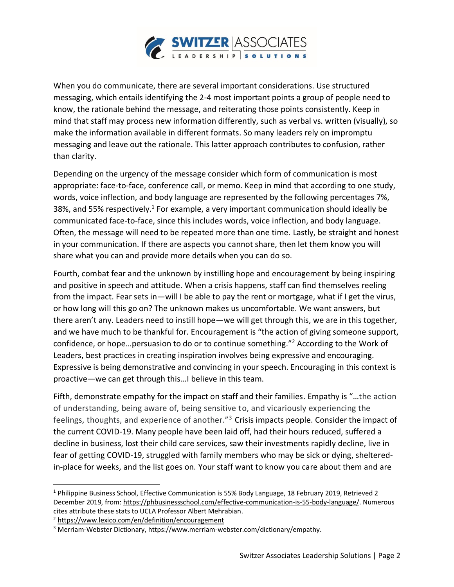

When you do communicate, there are several important considerations. Use structured messaging, which entails identifying the 2-4 most important points a group of people need to know, the rationale behind the message, and reiterating those points consistently. Keep in mind that staff may process new information differently, such as verbal vs. written (visually), so make the information available in different formats. So many leaders rely on impromptu messaging and leave out the rationale. This latter approach contributes to confusion, rather than clarity.

Depending on the urgency of the message consider which form of communication is most appropriate: face-to-face, conference call, or memo. Keep in mind that according to one study, words, voice inflection, and body language are represented by the following percentages 7%, 38%, and 55% respectively.<sup>1</sup> For example, a very important communication should ideally be communicated face-to-face, since this includes words, voice inflection, and body language. Often, the message will need to be repeated more than one time. Lastly, be straight and honest in your communication. If there are aspects you cannot share, then let them know you will share what you can and provide more details when you can do so.

Fourth, combat fear and the unknown by instilling hope and encouragement by being inspiring and positive in speech and attitude. When a crisis happens, staff can find themselves reeling from the impact. Fear sets in—will I be able to pay the rent or mortgage, what if I get the virus, or how long will this go on? The unknown makes us uncomfortable. We want answers, but there aren't any. Leaders need to instill hope—we will get through this, we are in this together, and we have much to be thankful for. Encouragement is "the action of giving someone support, confidence, or hope…persuasion to do or to continue something."<sup>2</sup> According to the Work of Leaders, best practices in creating inspiration involves being expressive and encouraging. Expressive is being demonstrative and convincing in your speech. Encouraging in this context is proactive—we can get through this…I believe in this team.

Fifth, demonstrate empathy for the impact on staff and their families. Empathy is "…the action of understanding, being aware of, being sensitive to, and vicariously experiencing the feelings, thoughts, and experience of another."<sup>3</sup> Crisis impacts people. Consider the impact of the current COVID-19. Many people have been laid off, had their hours reduced, suffered a decline in business, lost their child care services, saw their investments rapidly decline, live in fear of getting COVID-19, struggled with family members who may be sick or dying, shelteredin-place for weeks, and the list goes on. Your staff want to know you care about them and are

<sup>1</sup> Philippine Business School, Effective Communication is 55% Body Language, 18 February 2019, Retrieved 2 December 2019, from: [https://phbusinessschool.com/effective-communication-is-55-body-language/.](https://phbusinessschool.com/effective-communication-is-55-body-language/) Numerous cites attribute these stats to UCLA Professor Albert Mehrabian.

<sup>2</sup> <https://www.lexico.com/en/definition/encouragement>

<sup>3</sup> Merriam-Webster Dictionary, https://www.merriam-webster.com/dictionary/empathy.